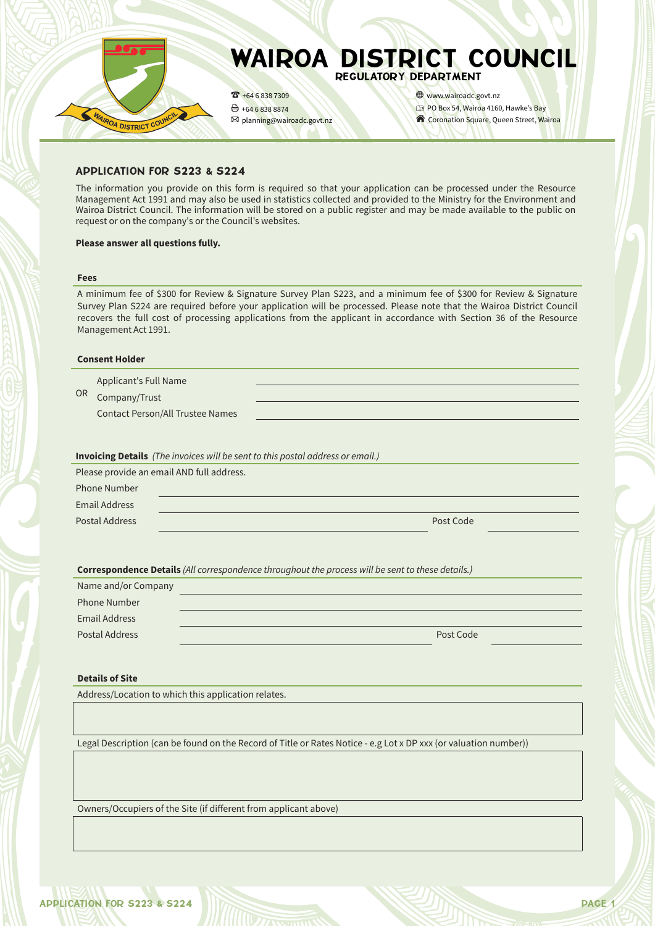

### APPLICATION FOR S223 & S224

The information you provide on this form is required so that your application can be processed under the Resource Management Act 1991 and may also be used in statistics collected and provided to the Ministry for the Environment and Wairoa District Council. The information will be stored on a public register and may be made available to the public on request or on the company's or the Council's websites.

#### **Please answer all questions fully.**

#### **Fees**

A minimum fee of \$300 for Review & Signature Survey Plan S223, and a minimum fee of \$300 for Review & Signature Survey Plan S224 are required before your application will be processed. Please note that the Wairoa District Council recovers the full cost of processing applications from the applicant in accordance with Section 36 of the Resource Management Act 1991.

#### **Consent Holder**

|    | Applicant's Full Name |  |
|----|-----------------------|--|
| 0R | Company/Trust         |  |

Company/Trust

Contact Person/All Trustee Names

**Invoicing Details** *(The invoices will be sent to this postal address or email.)*

|                      | Please provide an email AND full address. |  |
|----------------------|-------------------------------------------|--|
| <b>Phone Number</b>  |                                           |  |
| <b>Email Address</b> |                                           |  |
| Postal Address       | Post Code                                 |  |
|                      |                                           |  |

**Correspondence Details** *(All correspondence throughout the process will be sent to these details.)*

| Name and/or Company |           |  |
|---------------------|-----------|--|
| <b>Phone Number</b> |           |  |
| Email Address       |           |  |
| Postal Address      | Post Code |  |

### **Details of Site**

Address/Location to which this application relates.

Legal Description (can be found on the Record of Title or Rates Notice - e.g Lot x DP xxx (or valuation number))

Owners/Occupiers of the Site (if different from applicant above)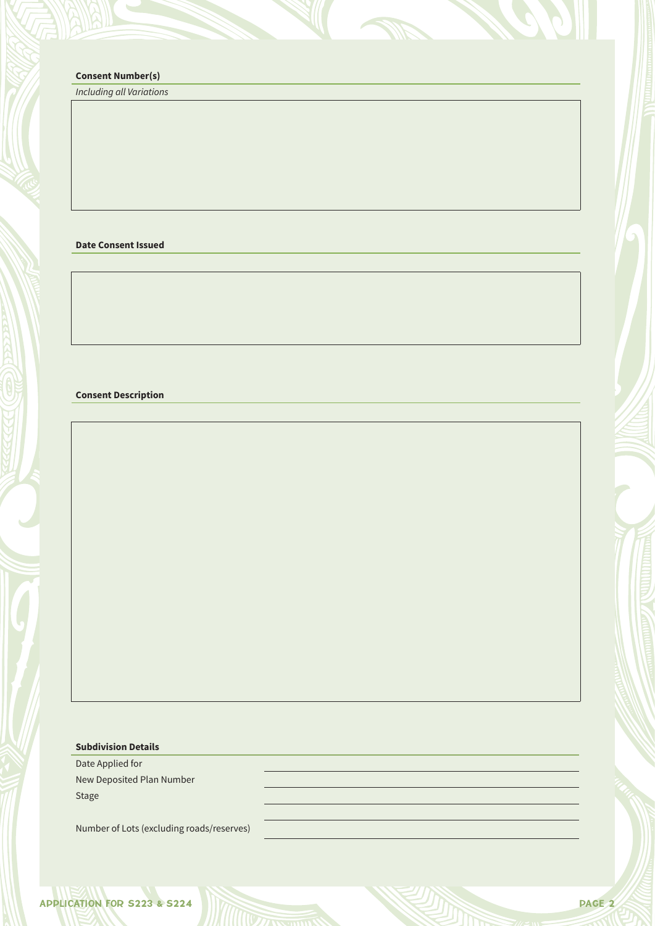# **Consent Number(s)**

*Including all Variations*

**Date Consent Issued**

### **Consent Description**

# **Subdivision Details**

Date Applied for New Deposited Plan Number Stage

Number of Lots (excluding roads/reserves)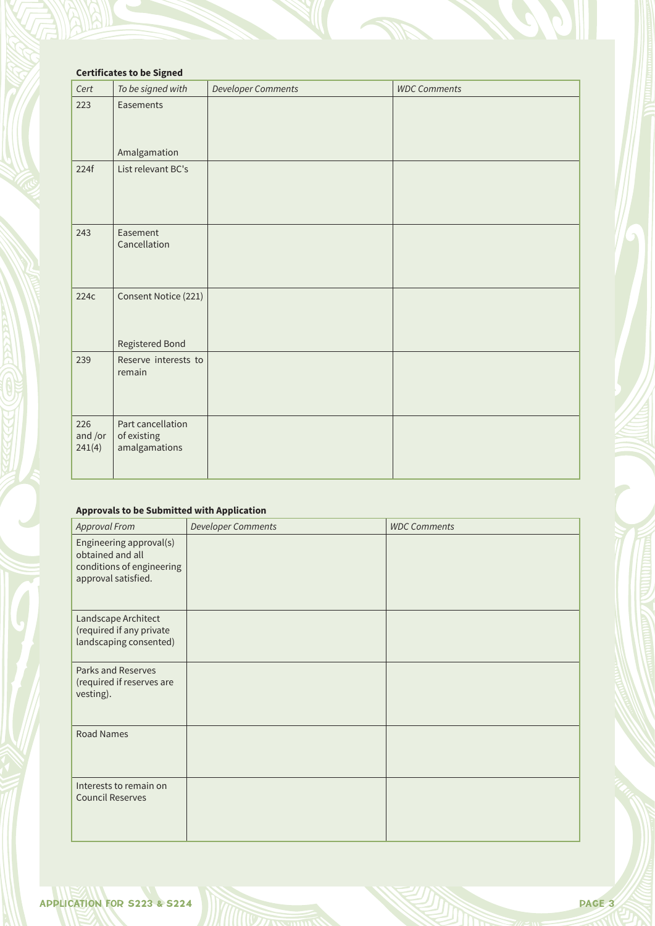# **Certificates to be Signed**

| Cert                     | To be signed with                                 | <b>Developer Comments</b> | <b>WDC Comments</b> |
|--------------------------|---------------------------------------------------|---------------------------|---------------------|
| 223                      | Easements<br>Amalgamation                         |                           |                     |
| 224f                     | List relevant BC's                                |                           |                     |
| 243                      | Easement<br>Cancellation                          |                           |                     |
| 224c                     | Consent Notice (221)<br>Registered Bond           |                           |                     |
| 239                      | Reserve interests to<br>remain                    |                           |                     |
| 226<br>and /or<br>241(4) | Part cancellation<br>of existing<br>amalgamations |                           |                     |

## **Approvals to be Submitted with Application**

| <b>Approval From</b>                                                                            | <b>Developer Comments</b> | <b>WDC Comments</b> |
|-------------------------------------------------------------------------------------------------|---------------------------|---------------------|
| Engineering approval(s)<br>obtained and all<br>conditions of engineering<br>approval satisfied. |                           |                     |
| Landscape Architect<br>(required if any private<br>landscaping consented)                       |                           |                     |
| Parks and Reserves<br>(required if reserves are<br>vesting).                                    |                           |                     |
| <b>Road Names</b>                                                                               |                           |                     |
| Interests to remain on<br><b>Council Reserves</b>                                               |                           |                     |